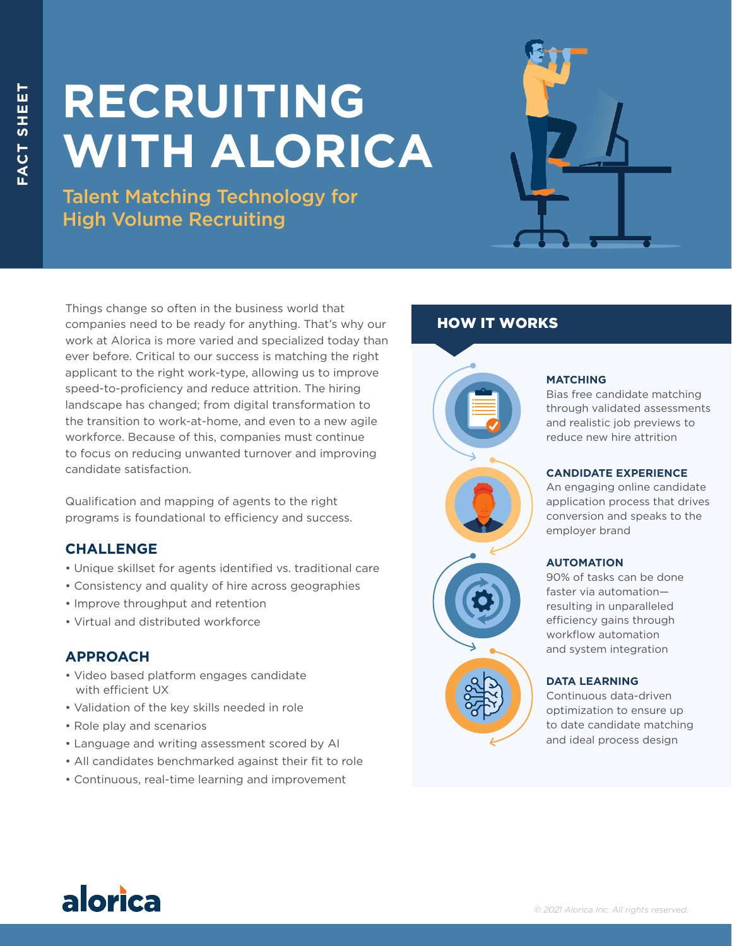# **RECRUITING WITH ALORICA**

Talent Matching Technology for High Volume Recruiting



Things change so often in the business world that companies need to be ready for anything. That's why our work at Alorica is more varied and specialized today than ever before. Critical to our success is matching the right applicant to the right work-type, allowing us to improve speed-to-proficiency and reduce attrition. The hiring landscape has changed; from digital transformation to the transition to work-at-home, and even to a new agile workforce. Because of this, companies must continue to focus on reducing unwanted turnover and improving candidate satisfaction.

Qualification and mapping of agents to the right programs is foundational to efficiency and success.

# **CHALLENGE**

- Unique skillset for agents identified vs. traditional care
- Consistency and quality of hire across geographies
- Improve throughput and retention
- Virtual and distributed workforce

# **APPROACH**

- Video based platform engages candidate with efficient UX
- Validation of the key skills needed in role
- Role play and scenarios
- Language and writing assessment scored by AI
- All candidates benchmarked against their fit to role
- Continuous, real-time learning and improvement

# HOW IT WORKS



#### **MATCHING**

Bias free candidate matching through validated assessments and realistic job previews to reduce new hire attrition

### **CANDIDATE EXPERIENCE**

An engaging online candidate application process that drives conversion and speaks to the employer brand

#### **AUTOMATION**

90% of tasks can be done faster via automation resulting in unparalleled efficiency gains through workflow automation and system integration

#### **DATA LEARNING**

Continuous data-driven optimization to ensure up to date candidate matching and ideal process design

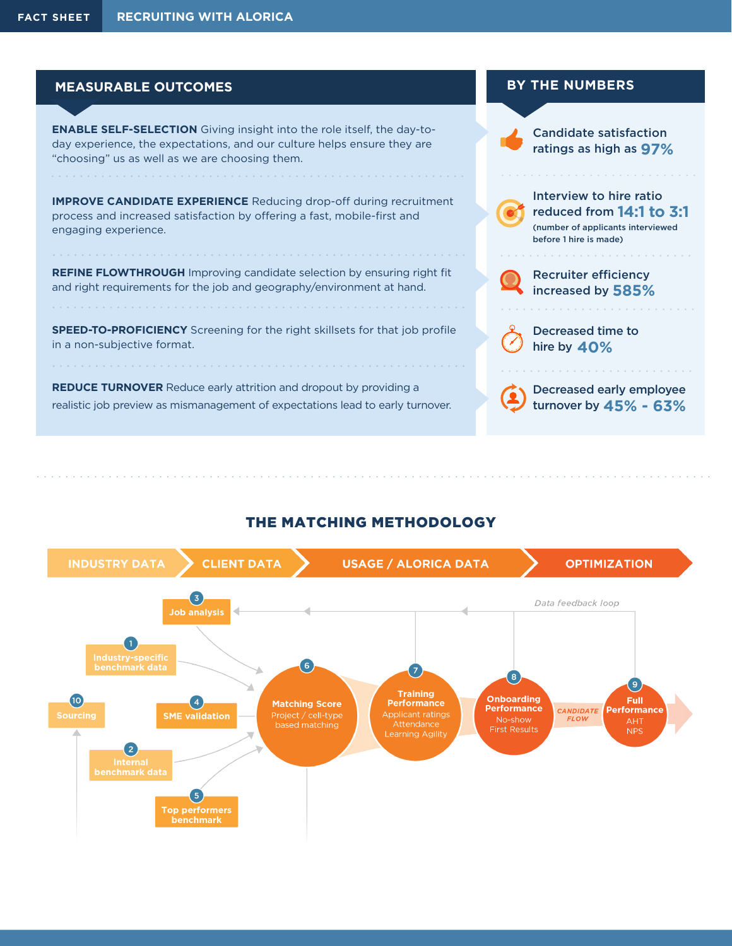### **MEASURABLE OUTCOMES**

**ENABLE SELF-SELECTION** Giving insight into the role itself, the day-today experience, the expectations, and our culture helps ensure they are "choosing" us as well as we are choosing them.

**IMPROVE CANDIDATE EXPERIENCE** Reducing drop-off during recruitment process and increased satisfaction by offering a fast, mobile-first and engaging experience.

**REFINE FLOWTHROUGH** Improving candidate selection by ensuring right fit and right requirements for the job and geography/environment at hand.

**SPEED-TO-PROFICIENCY** Screening for the right skillsets for that job profile in a non-subjective format.

**REDUCE TURNOVER** Reduce early attrition and dropout by providing a realistic job preview as mismanagement of expectations lead to early turnover.



# THE MATCHING METHODOLOGY